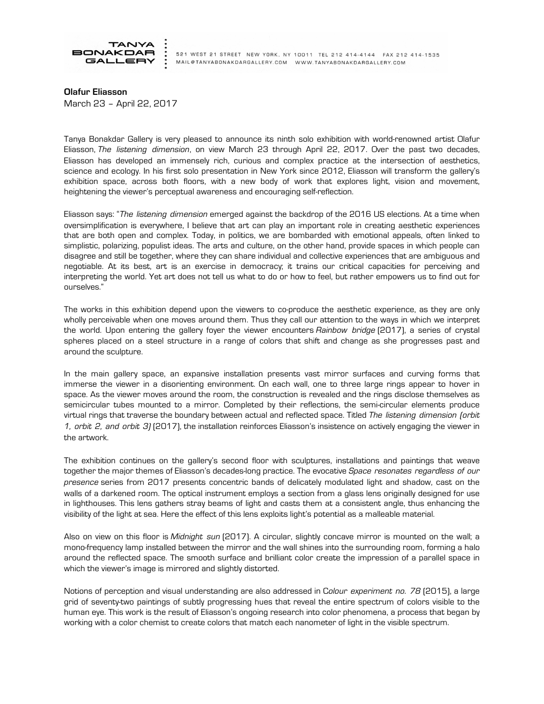

521 WEST 21 STREET NEW YORK, NY 10011 TEL 212 414-4144 FAX 212 414-1535 MAIL@TANYABONAKDARGALLERY.COM WWW.TANYABONAKDARGALLERY.COM

Olafur Eliasson March 23 – April 22, 2017

Tanya Bonakdar Gallery is very pleased to announce its ninth solo exhibition with world-renowned artist Olafur Eliasson, *The listening dimension*, on view March 23 through April 22, 2017. Over the past two decades, Eliasson has developed an immensely rich, curious and complex practice at the intersection of aesthetics, science and ecology. In his first solo presentation in New York since 2012, Eliasson will transform the gallery's exhibition space, across both floors, with a new body of work that explores light, vision and movement, heightening the viewer's perceptual awareness and encouraging self-reflection.

Eliasson says: "*The listening dimension* emerged against the backdrop of the 2016 US elections. At a time when oversimplification is everywhere, I believe that art can play an important role in creating aesthetic experiences that are both open and complex. Today, in politics, we are bombarded with emotional appeals, often linked to simplistic, polarizing, populist ideas. The arts and culture, on the other hand, provide spaces in which people can disagree and still be together, where they can share individual and collective experiences that are ambiguous and negotiable. At its best, art is an exercise in democracy; it trains our critical capacities for perceiving and interpreting the world. Yet art does not tell us what to do or how to feel, but rather empowers us to find out for ourselves."

The works in this exhibition depend upon the viewers to co-produce the aesthetic experience, as they are only wholly perceivable when one moves around them. Thus they call our attention to the ways in which we interpret the world. Upon entering the gallery foyer the viewer encounters *Rainbow bridge* (2017), a series of crystal spheres placed on a steel structure in a range of colors that shift and change as she progresses past and around the sculpture.

In the main gallery space, an expansive installation presents vast mirror surfaces and curving forms that immerse the viewer in a disorienting environment. On each wall, one to three large rings appear to hover in space. As the viewer moves around the room, the construction is revealed and the rings disclose themselves as semicircular tubes mounted to a mirror. Completed by their reflections, the semi-circular elements produce virtual rings that traverse the boundary between actual and reflected space. Titled *The listening dimension (orbit 1, orbit 2, and orbit 3)* (2017), the installation reinforces Eliasson's insistence on actively engaging the viewer in the artwork.

The exhibition continues on the gallery's second floor with sculptures, installations and paintings that weave together the major themes of Eliasson's decades-long practice. The evocative *Space resonates regardless of our presence* series from 2017 presents concentric bands of delicately modulated light and shadow, cast on the walls of a darkened room. The optical instrument employs a section from a glass lens originally designed for use in lighthouses. This lens gathers stray beams of light and casts them at a consistent angle, thus enhancing the visibility of the light at sea. Here the effect of this lens exploits light's potential as a malleable material.

Also on view on this floor is *Midnight sun* (2017). A circular, slightly concave mirror is mounted on the wall; a mono-frequency lamp installed between the mirror and the wall shines into the surrounding room, forming a halo around the reflected space. The smooth surface and brilliant color create the impression of a parallel space in which the viewer's image is mirrored and slightly distorted.

Notions of perception and visual understanding are also addressed in C*olour experiment no. 78* (2015), a large grid of seventy-two paintings of subtly progressing hues that reveal the entire spectrum of colors visible to the human eye. This work is the result of Eliasson's ongoing research into color phenomena, a process that began by working with a color chemist to create colors that match each nanometer of light in the visible spectrum.